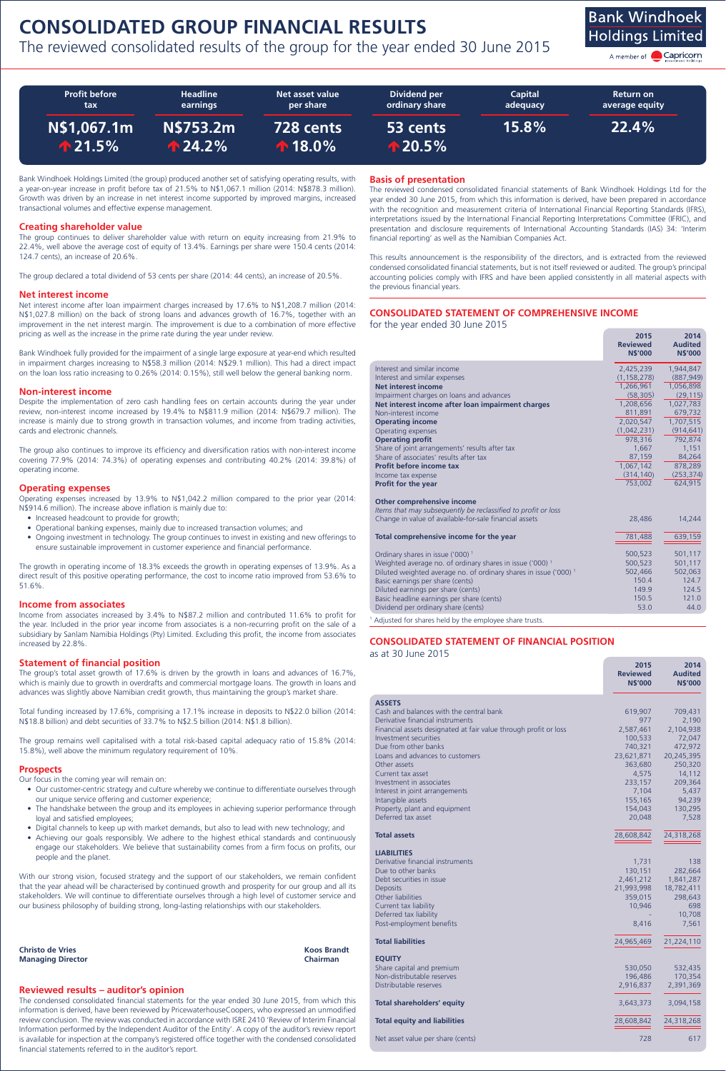# **CONSOLIDATED GROUP FINANCIAL RESULTS**

The reviewed consolidated results of the group for the year ended 30 June 2015

## **Bank Windhoek Holdings Limited**

A member of **Capricorn** 

**2014**

**2015**

| <b>Profit before</b>             | <b>Headline</b>                     | Net asset value              | Dividend per                     | <b>Capital</b> | Return on      |
|----------------------------------|-------------------------------------|------------------------------|----------------------------------|----------------|----------------|
| tax                              | earnings                            | per share                    | ordinary share                   | adequacy       | average equity |
| N\$1,067.1m<br>$\bigwedge$ 21.5% | <b>NS753.2m</b><br>$\bigcap 24.2\%$ | 728 cents<br>$\sqrt{18.0\%}$ | 53 cents<br>$\big\uparrow$ 20.5% | 15.8%          | $22.4\%$       |

Bank Windhoek Holdings Limited (the group) produced another set of satisfying operating results, with a year-on-year increase in profit before tax of 21.5% to N\$1,067.1 million (2014: N\$878.3 million). Growth was driven by an increase in net interest income supported by improved margins, increased transactional volumes and effective expense management.

#### **Creating shareholder value**

The group continues to deliver shareholder value with return on equity increasing from 21.9% to 22.4%, well above the average cost of equity of 13.4%. Earnings per share were 150.4 cents (2014: 124.7 cents), an increase of 20.6%.

The group declared a total dividend of 53 cents per share (2014: 44 cents), an increase of 20.5%.

#### **Net interest income**

Net interest income after loan impairment charges increased by 17.6% to N\$1,208.7 million (2014: N\$1,027.8 million) on the back of strong loans and advances growth of 16.7%, together with an improvement in the net interest margin. The improvement is due to a combination of more effective pricing as well as the increase in the prime rate during the year under review.

Bank Windhoek fully provided for the impairment of a single large exposure at year-end which resulted in impairment charges increasing to N\$58.3 million (2014: N\$29.1 million). This had a direct impact on the loan loss ratio increasing to 0.26% (2014: 0.15%), still well below the general banking norm.

#### **Non-interest income**

Despite the implementation of zero cash handling fees on certain accounts during the year under review, non-interest income increased by 19.4% to N\$811.9 million (2014: N\$679.7 million). The increase is mainly due to strong growth in transaction volumes, and income from trading activities, cards and electronic channels.

The group also continues to improve its efficiency and diversification ratios with non-interest income covering 77.9% (2014: 74.3%) of operating expenses and contributing 40.2% (2014: 39.8%) of operating income.

#### **Operating expenses**

Operating expenses increased by 13.9% to N\$1,042.2 million compared to the prior year (2014: N\$914.6 million). The increase above inflation is mainly due to:

- Increased headcount to provide for growth;
- Operational banking expenses, mainly due to increased transaction volumes; and • Ongoing investment in technology. The group continues to invest in existing and new offerings to
- ensure sustainable improvement in customer experience and financial performance.

The growth in operating income of 18.3% exceeds the growth in operating expenses of 13.9%. As a direct result of this positive operating performance, the cost to income ratio improved from 53.6% to 51.6%.

#### **Income from associates**

Income from associates increased by 3.4% to N\$87.2 million and contributed 11.6% to profit for the year. Included in the prior year income from associates is a non-recurring profit on the sale of a subsidiary by Sanlam Namibia Holdings (Pty) Limited. Excluding this profit, the income from associates increased by 22.8%.

#### **Statement of financial position**

The group's total asset growth of 17.6% is driven by the growth in loans and advances of 16.7%, which is mainly due to growth in overdrafts and commercial mortgage loans. The growth in loans and advances was slightly above Namibian credit growth, thus maintaining the group's market share.

Total funding increased by 17.6%, comprising a 17.1% increase in deposits to N\$22.0 billion (2014: N\$18.8 billion) and debt securities of 33.7% to N\$2.5 billion (2014: N\$1.8 billion).

The group remains well capitalised with a total risk-based capital adequacy ratio of 15.8% (2014: 15.8%), well above the minimum regulatory requirement of 10%.

#### **Prospects**

Our focus in the coming year will remain on:

- Our customer-centric strategy and culture whereby we continue to differentiate ourselves through our unique service offering and customer experience;
- The handshake between the group and its employees in achieving superior performance through loyal and satisfied employees;
- Digital channels to keep up with market demands, but also to lead with new technology; and
- Achieving our goals responsibly. We adhere to the highest ethical standards and continuously engage our stakeholders. We believe that sustainability comes from a firm focus on profits, our people and the planet.

With our strong vision, focused strategy and the support of our stakeholders, we remain confident that the year ahead will be characterised by continued growth and prosperity for our group and all its stakeholders. We will continue to differentiate ourselves through a high level of customer service and our business philosophy of building strong, long-lasting relationships with our stakeholders.

| <b>Christo de Vries</b>  | Koos Brandt |
|--------------------------|-------------|
| <b>Managing Director</b> | Chairman    |
|                          |             |

### **Reviewed results – auditor's opinion**

The condensed consolidated financial statements for the year ended 30 June 2015, from which this information is derived, have been reviewed by PricewaterhouseCoopers, who expressed an unmodified review conclusion. The review was conducted in accordance with ISRE 2410 'Review of Interim Financial Information performed by the Independent Auditor of the Entity'. A copy of the auditor's review report is available for inspection at the company's registered office together with the condensed consolidated financial statements referred to in the auditor's report.

#### **Basis of presentation**

The reviewed condensed consolidated financial statements of Bank Windhoek Holdings Ltd for the year ended 30 June 2015, from which this information is derived, have been prepared in accordance with the recognition and measurement criteria of International Financial Reporting Standards (IFRS), interpretations issued by the International Financial Reporting Interpretations Committee (IFRIC), and presentation and disclosure requirements of International Accounting Standards (IAS) 34: 'Interim financial reporting' as well as the Namibian Companies Act.

This results announcement is the responsibility of the directors, and is extracted from the reviewed condensed consolidated financial statements, but is not itself reviewed or audited. The group's principal accounting policies comply with IFRS and have been applied consistently in all material aspects with the previous financial years.

#### **CONSOLIDATED STATEMENT OF COMPREHENSIVE INCOME** for the year ended 30 June 2015

|                                                                              | <b>Reviewed</b><br><b>NS'000</b> | <b>Audited</b><br><b>NS'000</b> |
|------------------------------------------------------------------------------|----------------------------------|---------------------------------|
| Interest and similar income                                                  | 2,425,239                        | 1,944,847                       |
| Interest and similar expenses                                                | (1, 158, 278)                    | (887, 949)                      |
| <b>Net interest income</b>                                                   | 1,266,961                        | 1,056,898                       |
| Impairment charges on loans and advances                                     | (58, 305)                        | (29, 115)                       |
| Net interest income after loan impairment charges                            | 1.208.656                        | 1,027,783                       |
| Non-interest income                                                          | 811,891                          | 679,732                         |
| <b>Operating income</b>                                                      | 2,020,547                        | 1,707,515                       |
| Operating expenses                                                           | (1,042,231)                      | (914, 641)                      |
| <b>Operating profit</b>                                                      | 978,316                          | 792,874                         |
| Share of joint arrangements' results after tax                               | 1,667                            | 1,151                           |
| Share of associates' results after tax                                       | 87,159                           | 84,264                          |
| Profit before income tax                                                     | 1,067,142                        | 878,289                         |
| Income tax expense                                                           | (314, 140)                       | (253, 374)                      |
| Profit for the year                                                          | 753.002                          | 624,915                         |
| Other comprehensive income                                                   |                                  |                                 |
| Items that may subsequently be reclassified to profit or loss                |                                  |                                 |
| Change in value of available-for-sale financial assets                       | 28,486                           | 14,244                          |
| Total comprehensive income for the year                                      | 781,488                          | 639,159                         |
| Ordinary shares in issue ('000) <sup>1</sup>                                 | 500,523                          | 501,117                         |
| Weighted average no. of ordinary shares in issue ('000) <sup>1</sup>         | 500,523                          | 501,117                         |
| Diluted weighted average no. of ordinary shares in issue ('000) <sup>1</sup> | 502,466                          | 502,063                         |
| Basic earnings per share (cents)                                             | 150.4                            | 124.7                           |
| Diluted earnings per share (cents)                                           | 149.9                            | 124.5                           |
| Basic headline earnings per share (cents)                                    | 150.5                            | 121.0                           |
| Dividend per ordinary share (cents)                                          | 53.0                             | 44.0                            |
| <sup>1</sup> Adjusted for shares held by the employee share trusts.          |                                  |                                 |

#### **CONSOLIDATED STATEMENT OF FINANCIAL POSITION**

as at 30 June 2015

|                                                                  | 2015<br><b>Reviewed</b><br><b>N\$'000</b> | 2014<br><b>Audited</b><br><b>N\$'000</b> |
|------------------------------------------------------------------|-------------------------------------------|------------------------------------------|
| <b>ASSETS</b>                                                    |                                           |                                          |
| Cash and balances with the central bank                          | 619,907                                   | 709,431                                  |
| Derivative financial instruments                                 | 977                                       | 2,190                                    |
| Financial assets designated at fair value through profit or loss | 2,587,461                                 | 2,104,938                                |
| Investment securities                                            | 100,533                                   | 72,047                                   |
| Due from other banks                                             | 740,321                                   | 472,972                                  |
| Loans and advances to customers                                  | 23,621,871                                | 20,245,395                               |
| Other assets                                                     | 363,680                                   | 250,320                                  |
| Current tax asset                                                | 4,575                                     | 14,112                                   |
| Investment in associates                                         | 233,157                                   | 209,364                                  |
| Interest in joint arrangements                                   | 7,104                                     | 5,437                                    |
| Intangible assets                                                | 155,165                                   | 94,239                                   |
| Property, plant and equipment                                    | 154,043                                   | 130,295                                  |
| Deferred tax asset                                               | 20,048                                    | 7,528                                    |
| <b>Total assets</b>                                              | 28,608,842                                | 24,318,268                               |
| <b>LIABILITIES</b>                                               |                                           |                                          |
| Derivative financial instruments                                 | 1,731                                     | 138                                      |
| Due to other banks                                               | 130,151                                   | 282,664                                  |
| Debt securities in issue                                         | 2,461,212                                 | 1,841,287                                |
| <b>Deposits</b>                                                  | 21,993,998                                | 18,782,411                               |
| Other liabilities                                                | 359,015                                   | 298,643                                  |
| Current tax liability                                            | 10,946                                    | 698                                      |
| Deferred tax liability                                           |                                           | 10,708                                   |
| Post-employment benefits                                         | 8,416                                     | 7,561                                    |
| <b>Total liabilities</b>                                         | 24,965,469                                | 21,224,110                               |
| <b>EQUITY</b>                                                    |                                           |                                          |
| Share capital and premium                                        | 530,050                                   | 532,435                                  |
| Non-distributable reserves                                       | 196,486                                   | 170,354                                  |
| Distributable reserves                                           | 2,916,837                                 | 2,391,369                                |
| <b>Total shareholders' equity</b>                                | 3,643,373                                 | 3,094,158                                |
| <b>Total equity and liabilities</b>                              | 28,608,842                                | 24,318,268                               |
| Net asset value per share (cents)                                | 728                                       | 617                                      |